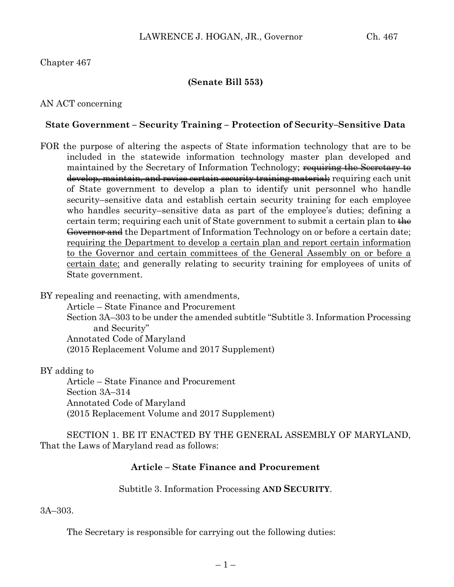# Chapter 467

### **(Senate Bill 553)**

### AN ACT concerning

#### **State Government – Security Training – Protection of Security–Sensitive Data**

FOR the purpose of altering the aspects of State information technology that are to be included in the statewide information technology master plan developed and maintained by the Secretary of Information Technology; requiring the Secretary to develop, maintain, and revise certain security training material; requiring each unit of State government to develop a plan to identify unit personnel who handle security–sensitive data and establish certain security training for each employee who handles security–sensitive data as part of the employee's duties; defining a certain term; requiring each unit of State government to submit a certain plan to the Governor and the Department of Information Technology on or before a certain date; requiring the Department to develop a certain plan and report certain information to the Governor and certain committees of the General Assembly on or before a certain date; and generally relating to security training for employees of units of State government.

BY repealing and reenacting, with amendments,

Article – State Finance and Procurement Section 3A–303 to be under the amended subtitle "Subtitle 3. Information Processing and Security" Annotated Code of Maryland (2015 Replacement Volume and 2017 Supplement)

BY adding to

Article – State Finance and Procurement Section 3A–314 Annotated Code of Maryland (2015 Replacement Volume and 2017 Supplement)

SECTION 1. BE IT ENACTED BY THE GENERAL ASSEMBLY OF MARYLAND, That the Laws of Maryland read as follows:

## **Article – State Finance and Procurement**

Subtitle 3. Information Processing **AND SECURITY**.

3A–303.

The Secretary is responsible for carrying out the following duties: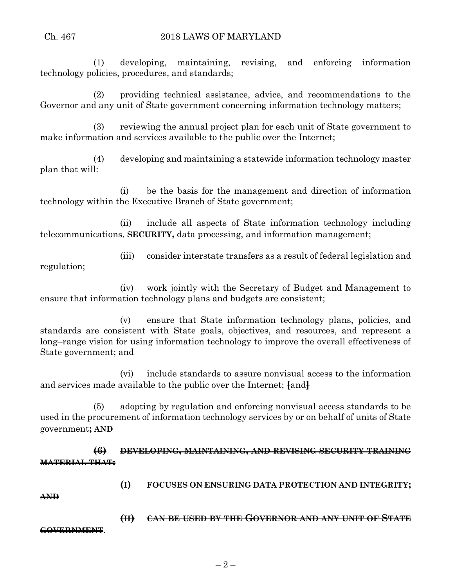(1) developing, maintaining, revising, and enforcing information technology policies, procedures, and standards;

(2) providing technical assistance, advice, and recommendations to the Governor and any unit of State government concerning information technology matters;

(3) reviewing the annual project plan for each unit of State government to make information and services available to the public over the Internet;

(4) developing and maintaining a statewide information technology master plan that will:

(i) be the basis for the management and direction of information technology within the Executive Branch of State government;

(ii) include all aspects of State information technology including telecommunications, **SECURITY,** data processing, and information management;

(iii) consider interstate transfers as a result of federal legislation and regulation;

(iv) work jointly with the Secretary of Budget and Management to ensure that information technology plans and budgets are consistent;

(v) ensure that State information technology plans, policies, and standards are consistent with State goals, objectives, and resources, and represent a long–range vision for using information technology to improve the overall effectiveness of State government; and

(vi) include standards to assure nonvisual access to the information and services made available to the public over the Internet; **[**and**]**

(5) adopting by regulation and enforcing nonvisual access standards to be used in the procurement of information technology services by or on behalf of units of State government**; AND**

**(6) DEVELOPING, MAINTAINING, AND REVISING SECURITY TRAINING MATERIAL THAT:**

**(I) FOCUSES ON ENSURING DATA PROTECTION AND INTEGRITY;**

**AND**

**(II) CAN BE USED BY THE GOVERNOR AND ANY UNIT OF STATE GOVERNMENT**.